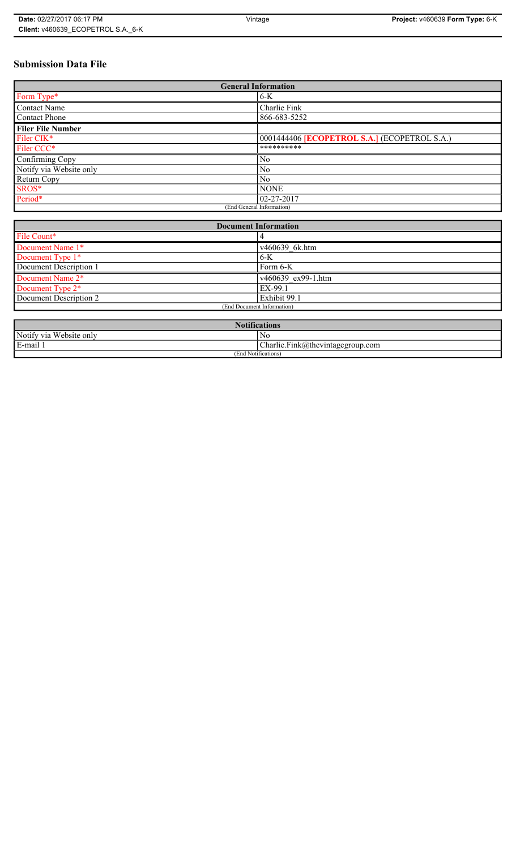# **Submission Data File**

| <b>General Information</b> |                                                     |
|----------------------------|-----------------------------------------------------|
| Form Type*                 | $6-K$                                               |
| <b>Contact Name</b>        | Charlie Fink                                        |
| <b>Contact Phone</b>       | 866-683-5252                                        |
| <b>Filer File Number</b>   |                                                     |
| Filer CIK*                 | 0001444406 <b>[ECOPETROL S.A.]</b> (ECOPETROL S.A.) |
| Filer CCC*                 | **********                                          |
| Confirming Copy            | N <sub>0</sub>                                      |
| Notify via Website only    | No                                                  |
| Return Copy                | No                                                  |
| SROS*                      | <b>NONE</b>                                         |
| Period*                    | $02 - 27 - 2017$                                    |
| (End General Information)  |                                                     |

| <b>Document Information</b>  |                    |
|------------------------------|--------------------|
| File Count*                  |                    |
| Document Name 1*             | v460639 6k.htm     |
| Document Type 1*             | $6-K$              |
| Document Description 1       | Form 6-K           |
| Document Name 2*             | v460639 ex99-1.htm |
| Document Type 2 <sup>*</sup> | EX-99.1            |
| Document Description 2       | Exhibit 99.1       |
| (End Document Information)   |                    |
|                              |                    |

| $\blacksquare$<br>. 0.09<br>tītīcatīons<br>$\triangle$ or $\triangle$ |                                                 |
|-----------------------------------------------------------------------|-------------------------------------------------|
| Notify via<br><b>TTT</b><br>. Website only                            | N0                                              |
| E-mail 1                                                              | $\sim$<br>$Charlie.Fink(a)$ thevintagegroup.com |
| $\cdots$<br>(End Notifications)                                       |                                                 |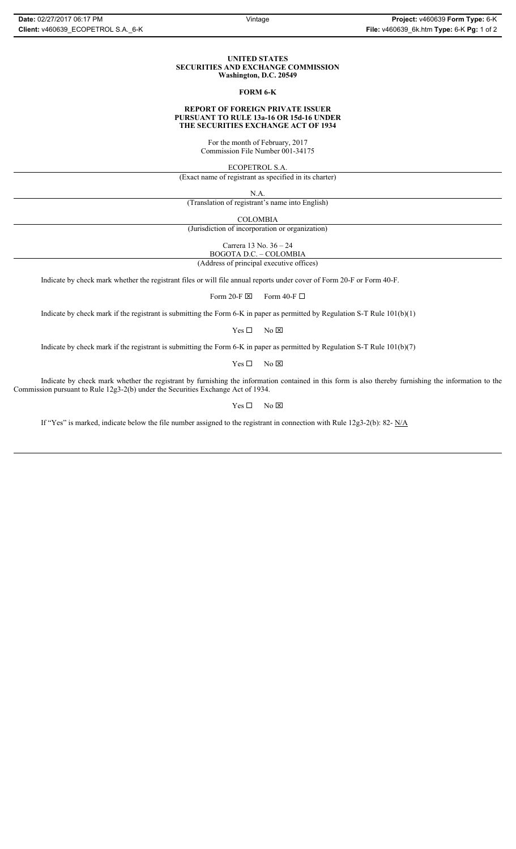### **UNITED STATES SECURITIES AND EXCHANGE COMMISSION Washington, D.C. 20549**

## **FORM 6-K**

### **REPORT OF FOREIGN PRIVATE ISSUER PURSUANT TO RULE 13a-16 OR 15d-16 UNDER THE SECURITIES EXCHANGE ACT OF 1934**

For the month of February, 2017 Commission File Number 001-34175

ECOPETROL S.A.

(Exact name of registrant as specified in its charter)

N.A.

(Translation of registrant's name into English)

COLOMBIA

(Jurisdiction of incorporation or organization)

Carrera 13 No. 36 – 24

BOGOTA D.C. – COLOMBIA

(Address of principal executive offices)

Indicate by check mark whether the registrant files or will file annual reports under cover of Form 20-F or Form 40-F.

Form 20-F  $\boxtimes$  Form 40-F  $\Box$ 

Indicate by check mark if the registrant is submitting the Form 6-K in paper as permitted by Regulation S-T Rule 101(b)(1)

 $Yes \Box$  No  $\boxtimes$ 

Indicate by check mark if the registrant is submitting the Form 6-K in paper as permitted by Regulation S-T Rule 101(b)(7)

 $Yes \Box$  No  $\boxtimes$ 

Indicate by check mark whether the registrant by furnishing the information contained in this form is also thereby furnishing the information to the Commission pursuant to Rule 12g3-2(b) under the Securities Exchange Act of 1934.

 $Yes \Box$  No  $\boxtimes$ 

If "Yes" is marked, indicate below the file number assigned to the registrant in connection with Rule 12g3-2(b): 82- N/A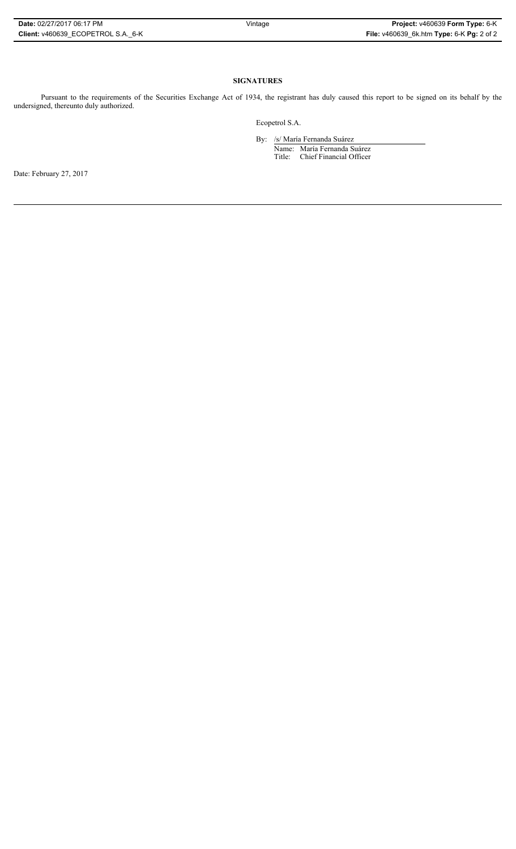# **SIGNATURES**

Pursuant to the requirements of the Securities Exchange Act of 1934, the registrant has duly caused this report to be signed on its behalf by the undersigned, thereunto duly authorized.

Ecopetrol S.A.

By: /s/ María Fernanda Suárez Name: María Fernanda Suárez Title: Chief Financial Officer

Date: February 27, 2017